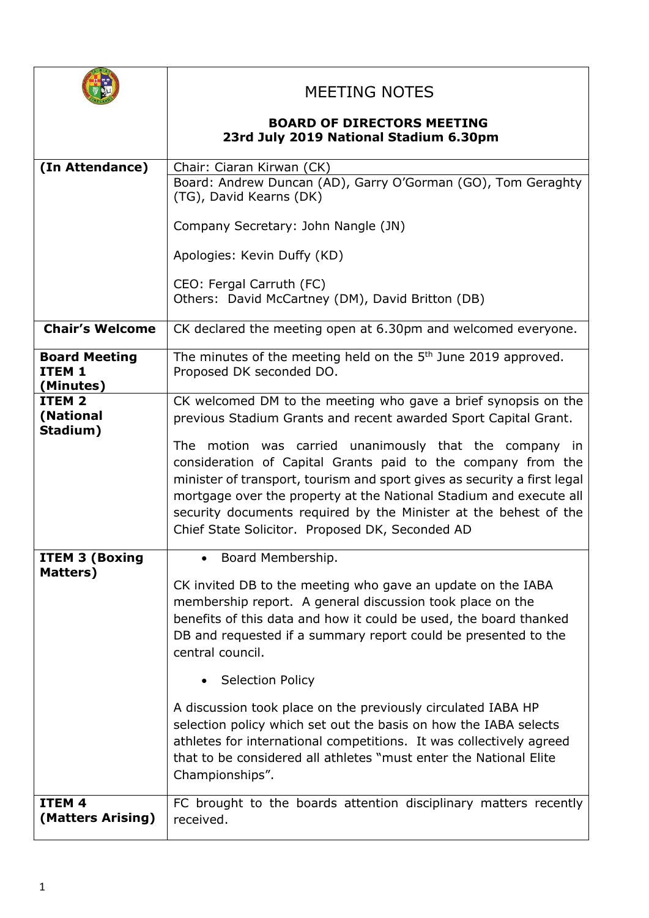|                                                        | <b>MEETING NOTES</b>                                                                                                                                                                                                                                                                                                                                                                                          |
|--------------------------------------------------------|---------------------------------------------------------------------------------------------------------------------------------------------------------------------------------------------------------------------------------------------------------------------------------------------------------------------------------------------------------------------------------------------------------------|
|                                                        | <b>BOARD OF DIRECTORS MEETING</b><br>23rd July 2019 National Stadium 6.30pm                                                                                                                                                                                                                                                                                                                                   |
| (In Attendance)                                        | Chair: Ciaran Kirwan (CK)<br>Board: Andrew Duncan (AD), Garry O'Gorman (GO), Tom Geraghty<br>(TG), David Kearns (DK)                                                                                                                                                                                                                                                                                          |
|                                                        | Company Secretary: John Nangle (JN)                                                                                                                                                                                                                                                                                                                                                                           |
|                                                        | Apologies: Kevin Duffy (KD)                                                                                                                                                                                                                                                                                                                                                                                   |
|                                                        | CEO: Fergal Carruth (FC)<br>Others: David McCartney (DM), David Britton (DB)                                                                                                                                                                                                                                                                                                                                  |
| <b>Chair's Welcome</b>                                 | CK declared the meeting open at 6.30pm and welcomed everyone.                                                                                                                                                                                                                                                                                                                                                 |
| <b>Board Meeting</b><br>ITEM <sub>1</sub><br>(Minutes) | The minutes of the meeting held on the 5 <sup>th</sup> June 2019 approved.<br>Proposed DK seconded DO.                                                                                                                                                                                                                                                                                                        |
| ITEM <sub>2</sub><br>(National<br>Stadium)             | CK welcomed DM to the meeting who gave a brief synopsis on the<br>previous Stadium Grants and recent awarded Sport Capital Grant.<br>The motion was carried unanimously that the company in<br>consideration of Capital Grants paid to the company from the<br>minister of transport, tourism and sport gives as security a first legal<br>mortgage over the property at the National Stadium and execute all |
|                                                        | security documents required by the Minister at the behest of the<br>Chief State Solicitor. Proposed DK, Seconded AD                                                                                                                                                                                                                                                                                           |
| <b>ITEM 3 (Boxing</b><br>Matters)                      | Board Membership.<br>CK invited DB to the meeting who gave an update on the IABA<br>membership report. A general discussion took place on the<br>benefits of this data and how it could be used, the board thanked<br>DB and requested if a summary report could be presented to the<br>central council.                                                                                                      |
|                                                        | • Selection Policy                                                                                                                                                                                                                                                                                                                                                                                            |
|                                                        | A discussion took place on the previously circulated IABA HP<br>selection policy which set out the basis on how the IABA selects<br>athletes for international competitions. It was collectively agreed<br>that to be considered all athletes "must enter the National Elite<br>Championships".                                                                                                               |
| ITEM <sub>4</sub><br>(Matters Arising)                 | FC brought to the boards attention disciplinary matters recently<br>received.                                                                                                                                                                                                                                                                                                                                 |